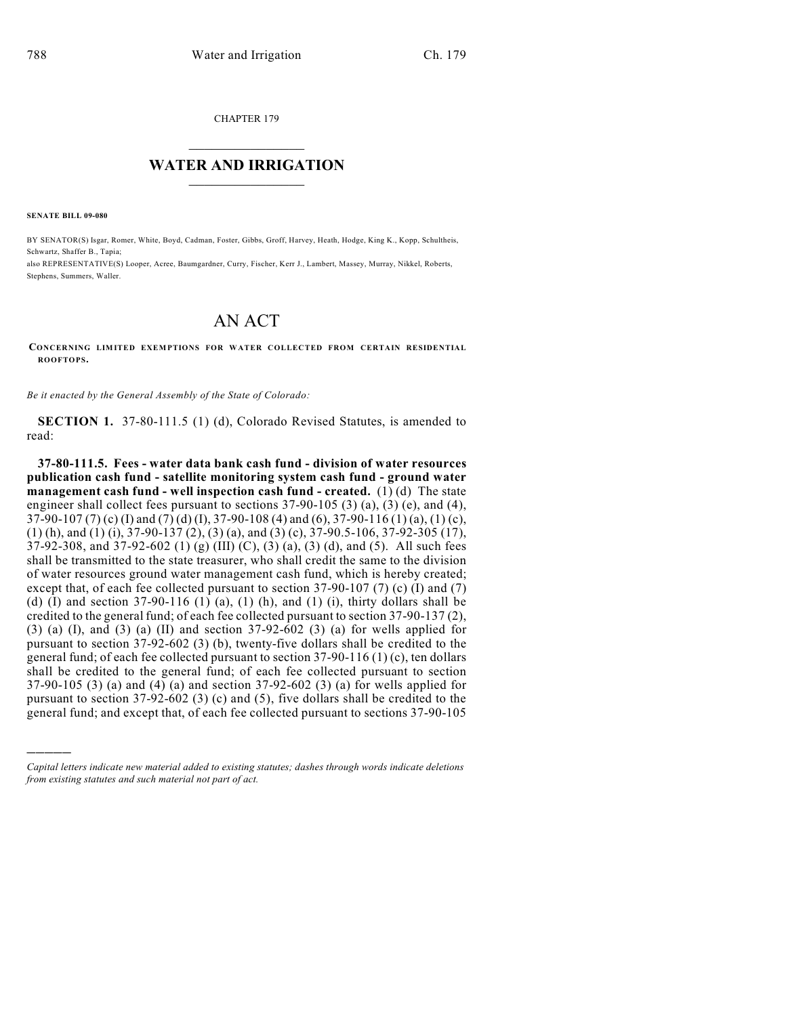CHAPTER 179

## $\mathcal{L}_\text{max}$  . The set of the set of the set of the set of the set of the set of the set of the set of the set of the set of the set of the set of the set of the set of the set of the set of the set of the set of the set **WATER AND IRRIGATION**  $\_$   $\_$

**SENATE BILL 09-080**

)))))

BY SENATOR(S) Isgar, Romer, White, Boyd, Cadman, Foster, Gibbs, Groff, Harvey, Heath, Hodge, King K., Kopp, Schultheis, Schwartz, Shaffer B., Tapia;

also REPRESENTATIVE(S) Looper, Acree, Baumgardner, Curry, Fischer, Kerr J., Lambert, Massey, Murray, Nikkel, Roberts, Stephens, Summers, Waller.

## AN ACT

## **CONCERNING LIMITED EXEMPTIONS FOR WATER COLLECTED FROM CERTAIN RESIDENTIAL ROOFTOPS.**

*Be it enacted by the General Assembly of the State of Colorado:*

**SECTION 1.** 37-80-111.5 (1) (d), Colorado Revised Statutes, is amended to read:

**37-80-111.5. Fees - water data bank cash fund - division of water resources publication cash fund - satellite monitoring system cash fund - ground water management cash fund - well inspection cash fund - created.** (1) (d) The state engineer shall collect fees pursuant to sections 37-90-105 (3) (a), (3) (e), and (4), 37-90-107 (7) (c) (I) and (7) (d) (I), 37-90-108 (4) and (6), 37-90-116 (1) (a), (1) (c), (1) (h), and (1) (i), 37-90-137 (2), (3) (a), and (3) (c), 37-90.5-106, 37-92-305 (17), 37-92-308, and 37-92-602 (1) (g) (III) (C), (3) (a), (3) (d), and (5). All such fees shall be transmitted to the state treasurer, who shall credit the same to the division of water resources ground water management cash fund, which is hereby created; except that, of each fee collected pursuant to section  $37-90-107$  (7) (c) (I) and (7) (d) (I) and section  $37-90-116$  (1) (a), (1) (h), and (1) (i), thirty dollars shall be credited to the general fund; of each fee collected pursuant to section 37-90-137 (2),  $(3)$  (a) (I), and  $(3)$  (a) (II) and section 37-92-602 (3) (a) for wells applied for pursuant to section 37-92-602 (3) (b), twenty-five dollars shall be credited to the general fund; of each fee collected pursuant to section 37-90-116 (1) (c), ten dollars shall be credited to the general fund; of each fee collected pursuant to section 37-90-105 (3) (a) and (4) (a) and section 37-92-602 (3) (a) for wells applied for pursuant to section 37-92-602 (3) (c) and (5), five dollars shall be credited to the general fund; and except that, of each fee collected pursuant to sections 37-90-105

*Capital letters indicate new material added to existing statutes; dashes through words indicate deletions from existing statutes and such material not part of act.*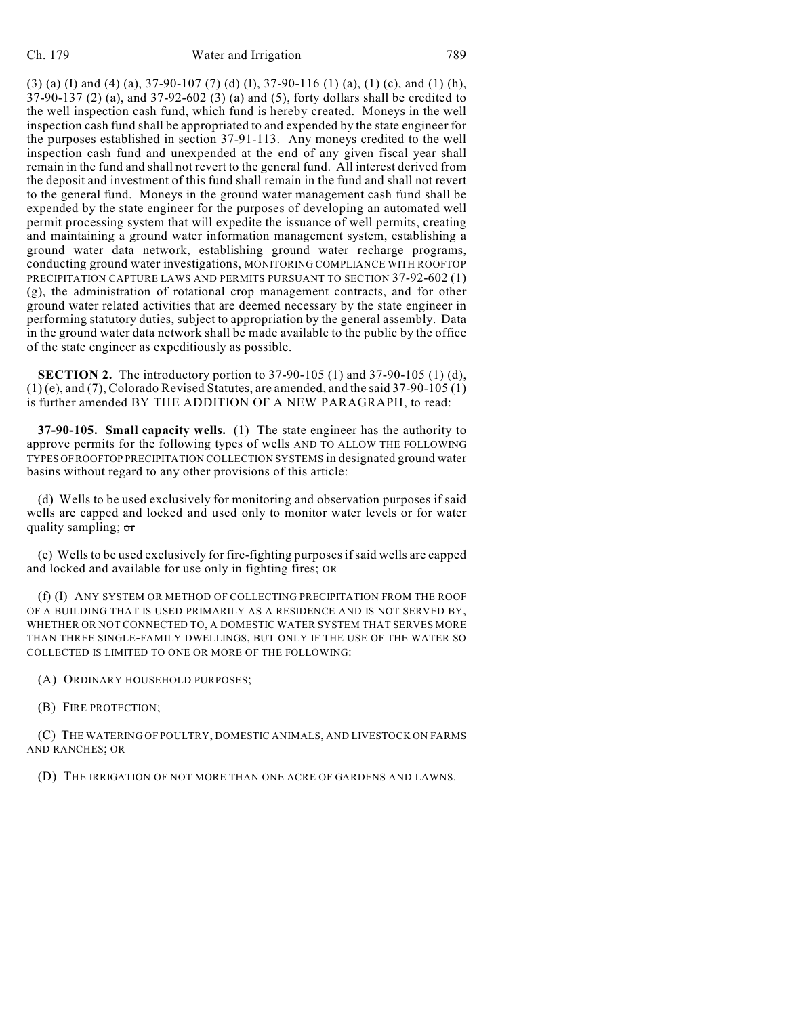(3) (a) (I) and (4) (a), 37-90-107 (7) (d) (I), 37-90-116 (1) (a), (1) (c), and (1) (h), 37-90-137 (2) (a), and 37-92-602 (3) (a) and (5), forty dollars shall be credited to the well inspection cash fund, which fund is hereby created. Moneys in the well inspection cash fund shall be appropriated to and expended by the state engineer for the purposes established in section 37-91-113. Any moneys credited to the well inspection cash fund and unexpended at the end of any given fiscal year shall remain in the fund and shall not revert to the general fund. All interest derived from the deposit and investment of this fund shall remain in the fund and shall not revert to the general fund. Moneys in the ground water management cash fund shall be expended by the state engineer for the purposes of developing an automated well permit processing system that will expedite the issuance of well permits, creating and maintaining a ground water information management system, establishing a ground water data network, establishing ground water recharge programs, conducting ground water investigations, MONITORING COMPLIANCE WITH ROOFTOP PRECIPITATION CAPTURE LAWS AND PERMITS PURSUANT TO SECTION 37-92-602 (1) (g), the administration of rotational crop management contracts, and for other ground water related activities that are deemed necessary by the state engineer in performing statutory duties, subject to appropriation by the general assembly. Data in the ground water data network shall be made available to the public by the office of the state engineer as expeditiously as possible.

**SECTION 2.** The introductory portion to 37-90-105 (1) and 37-90-105 (1) (d),  $(1)$  (e), and (7), Colorado Revised Statutes, are amended, and the said 37-90-105 (1) is further amended BY THE ADDITION OF A NEW PARAGRAPH, to read:

**37-90-105. Small capacity wells.** (1) The state engineer has the authority to approve permits for the following types of wells AND TO ALLOW THE FOLLOWING TYPES OF ROOFTOP PRECIPITATION COLLECTION SYSTEMS in designated ground water basins without regard to any other provisions of this article:

(d) Wells to be used exclusively for monitoring and observation purposes if said wells are capped and locked and used only to monitor water levels or for water quality sampling; or

(e) Wells to be used exclusively for fire-fighting purposes if said wells are capped and locked and available for use only in fighting fires; OR

(f) (I) ANY SYSTEM OR METHOD OF COLLECTING PRECIPITATION FROM THE ROOF OF A BUILDING THAT IS USED PRIMARILY AS A RESIDENCE AND IS NOT SERVED BY, WHETHER OR NOT CONNECTED TO, A DOMESTIC WATER SYSTEM THAT SERVES MORE THAN THREE SINGLE-FAMILY DWELLINGS, BUT ONLY IF THE USE OF THE WATER SO COLLECTED IS LIMITED TO ONE OR MORE OF THE FOLLOWING:

(A) ORDINARY HOUSEHOLD PURPOSES;

(B) FIRE PROTECTION;

(C) THE WATERING OF POULTRY, DOMESTIC ANIMALS, AND LIVESTOCK ON FARMS AND RANCHES; OR

(D) THE IRRIGATION OF NOT MORE THAN ONE ACRE OF GARDENS AND LAWNS.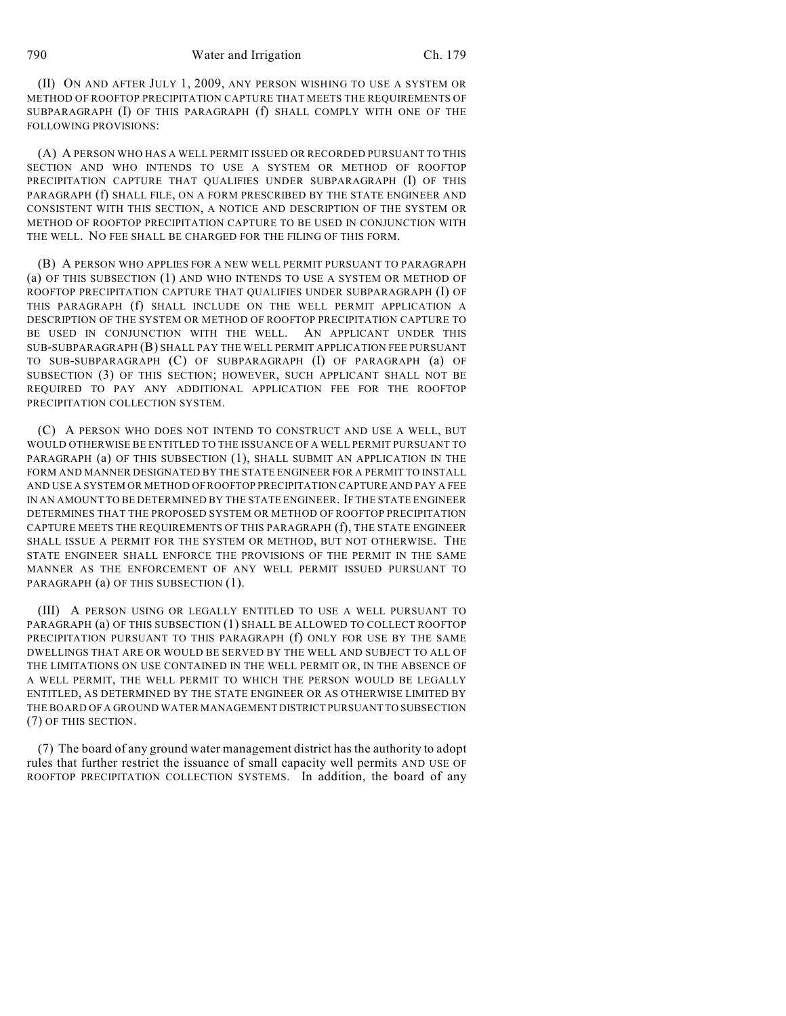(II) ON AND AFTER JULY 1, 2009, ANY PERSON WISHING TO USE A SYSTEM OR METHOD OF ROOFTOP PRECIPITATION CAPTURE THAT MEETS THE REQUIREMENTS OF SUBPARAGRAPH (I) OF THIS PARAGRAPH (f) SHALL COMPLY WITH ONE OF THE FOLLOWING PROVISIONS:

(A) A PERSON WHO HAS A WELL PERMIT ISSUED OR RECORDED PURSUANT TO THIS SECTION AND WHO INTENDS TO USE A SYSTEM OR METHOD OF ROOFTOP PRECIPITATION CAPTURE THAT QUALIFIES UNDER SUBPARAGRAPH (I) OF THIS PARAGRAPH (f) SHALL FILE, ON A FORM PRESCRIBED BY THE STATE ENGINEER AND CONSISTENT WITH THIS SECTION, A NOTICE AND DESCRIPTION OF THE SYSTEM OR METHOD OF ROOFTOP PRECIPITATION CAPTURE TO BE USED IN CONJUNCTION WITH THE WELL. NO FEE SHALL BE CHARGED FOR THE FILING OF THIS FORM.

(B) A PERSON WHO APPLIES FOR A NEW WELL PERMIT PURSUANT TO PARAGRAPH (a) OF THIS SUBSECTION (1) AND WHO INTENDS TO USE A SYSTEM OR METHOD OF ROOFTOP PRECIPITATION CAPTURE THAT QUALIFIES UNDER SUBPARAGRAPH (I) OF THIS PARAGRAPH (f) SHALL INCLUDE ON THE WELL PERMIT APPLICATION A DESCRIPTION OF THE SYSTEM OR METHOD OF ROOFTOP PRECIPITATION CAPTURE TO BE USED IN CONJUNCTION WITH THE WELL. AN APPLICANT UNDER THIS SUB-SUBPARAGRAPH (B) SHALL PAY THE WELL PERMIT APPLICATION FEE PURSUANT TO SUB-SUBPARAGRAPH (C) OF SUBPARAGRAPH (I) OF PARAGRAPH (a) OF SUBSECTION (3) OF THIS SECTION; HOWEVER, SUCH APPLICANT SHALL NOT BE REQUIRED TO PAY ANY ADDITIONAL APPLICATION FEE FOR THE ROOFTOP PRECIPITATION COLLECTION SYSTEM.

(C) A PERSON WHO DOES NOT INTEND TO CONSTRUCT AND USE A WELL, BUT WOULD OTHERWISE BE ENTITLED TO THE ISSUANCE OF A WELL PERMIT PURSUANT TO PARAGRAPH (a) OF THIS SUBSECTION (1), SHALL SUBMIT AN APPLICATION IN THE FORM AND MANNER DESIGNATED BY THE STATE ENGINEER FOR A PERMIT TO INSTALL AND USE A SYSTEM OR METHOD OFROOFTOP PRECIPITATION CAPTURE AND PAY A FEE IN AN AMOUNT TO BE DETERMINED BY THE STATE ENGINEER. IF THE STATE ENGINEER DETERMINES THAT THE PROPOSED SYSTEM OR METHOD OF ROOFTOP PRECIPITATION CAPTURE MEETS THE REQUIREMENTS OF THIS PARAGRAPH (f), THE STATE ENGINEER SHALL ISSUE A PERMIT FOR THE SYSTEM OR METHOD, BUT NOT OTHERWISE. THE STATE ENGINEER SHALL ENFORCE THE PROVISIONS OF THE PERMIT IN THE SAME MANNER AS THE ENFORCEMENT OF ANY WELL PERMIT ISSUED PURSUANT TO PARAGRAPH (a) OF THIS SUBSECTION (1).

(III) A PERSON USING OR LEGALLY ENTITLED TO USE A WELL PURSUANT TO PARAGRAPH (a) OF THIS SUBSECTION (1) SHALL BE ALLOWED TO COLLECT ROOFTOP PRECIPITATION PURSUANT TO THIS PARAGRAPH (f) ONLY FOR USE BY THE SAME DWELLINGS THAT ARE OR WOULD BE SERVED BY THE WELL AND SUBJECT TO ALL OF THE LIMITATIONS ON USE CONTAINED IN THE WELL PERMIT OR, IN THE ABSENCE OF A WELL PERMIT, THE WELL PERMIT TO WHICH THE PERSON WOULD BE LEGALLY ENTITLED, AS DETERMINED BY THE STATE ENGINEER OR AS OTHERWISE LIMITED BY THE BOARD OF A GROUND WATER MANAGEMENT DISTRICT PURSUANT TO SUBSECTION (7) OF THIS SECTION.

(7) The board of any ground water management district has the authority to adopt rules that further restrict the issuance of small capacity well permits AND USE OF ROOFTOP PRECIPITATION COLLECTION SYSTEMS. In addition, the board of any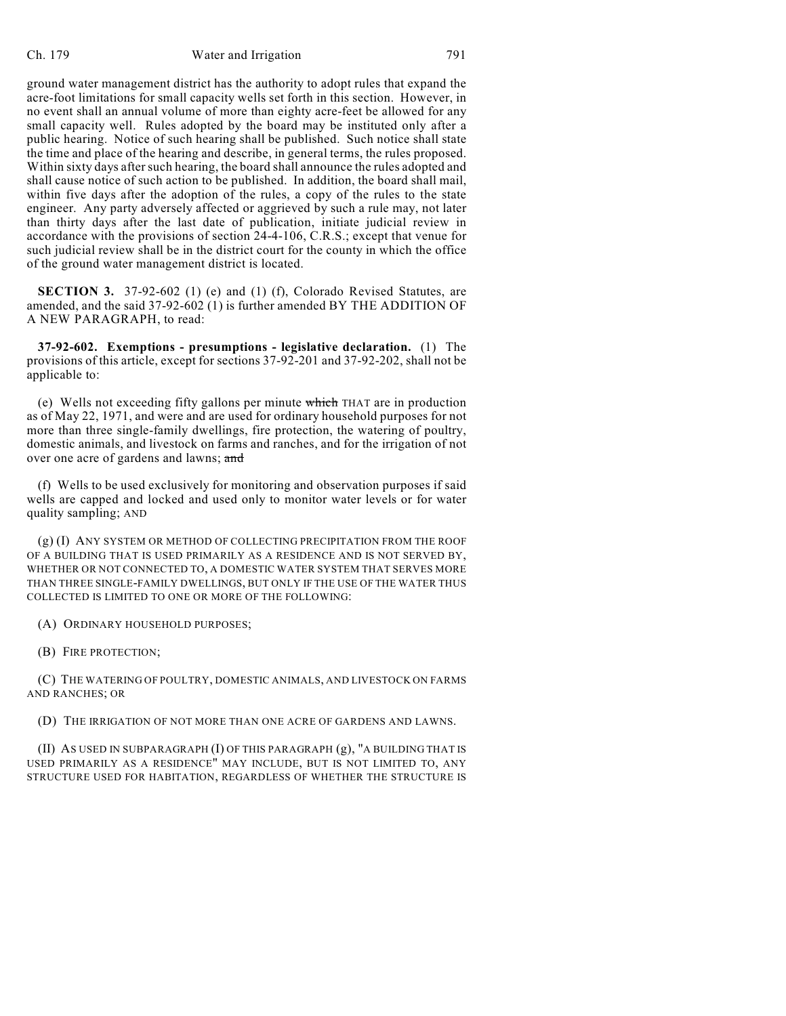ground water management district has the authority to adopt rules that expand the acre-foot limitations for small capacity wells set forth in this section. However, in no event shall an annual volume of more than eighty acre-feet be allowed for any small capacity well. Rules adopted by the board may be instituted only after a public hearing. Notice of such hearing shall be published. Such notice shall state the time and place of the hearing and describe, in general terms, the rules proposed. Within sixty days after such hearing, the board shall announce the rules adopted and shall cause notice of such action to be published. In addition, the board shall mail, within five days after the adoption of the rules, a copy of the rules to the state engineer. Any party adversely affected or aggrieved by such a rule may, not later than thirty days after the last date of publication, initiate judicial review in accordance with the provisions of section 24-4-106, C.R.S.; except that venue for such judicial review shall be in the district court for the county in which the office of the ground water management district is located.

**SECTION 3.** 37-92-602 (1) (e) and (1) (f), Colorado Revised Statutes, are amended, and the said 37-92-602 (1) is further amended BY THE ADDITION OF A NEW PARAGRAPH, to read:

**37-92-602. Exemptions - presumptions - legislative declaration.** (1) The provisions of this article, except for sections 37-92-201 and 37-92-202, shall not be applicable to:

(e) Wells not exceeding fifty gallons per minute which THAT are in production as of May 22, 1971, and were and are used for ordinary household purposes for not more than three single-family dwellings, fire protection, the watering of poultry, domestic animals, and livestock on farms and ranches, and for the irrigation of not over one acre of gardens and lawns; and

(f) Wells to be used exclusively for monitoring and observation purposes if said wells are capped and locked and used only to monitor water levels or for water quality sampling; AND

(g) (I) ANY SYSTEM OR METHOD OF COLLECTING PRECIPITATION FROM THE ROOF OF A BUILDING THAT IS USED PRIMARILY AS A RESIDENCE AND IS NOT SERVED BY, WHETHER OR NOT CONNECTED TO, A DOMESTIC WATER SYSTEM THAT SERVES MORE THAN THREE SINGLE-FAMILY DWELLINGS, BUT ONLY IF THE USE OF THE WATER THUS COLLECTED IS LIMITED TO ONE OR MORE OF THE FOLLOWING:

(A) ORDINARY HOUSEHOLD PURPOSES;

(B) FIRE PROTECTION;

(C) THE WATERING OF POULTRY, DOMESTIC ANIMALS, AND LIVESTOCK ON FARMS AND RANCHES; OR

(D) THE IRRIGATION OF NOT MORE THAN ONE ACRE OF GARDENS AND LAWNS.

(II) AS USED IN SUBPARAGRAPH (I) OF THIS PARAGRAPH (g), "A BUILDING THAT IS USED PRIMARILY AS A RESIDENCE" MAY INCLUDE, BUT IS NOT LIMITED TO, ANY STRUCTURE USED FOR HABITATION, REGARDLESS OF WHETHER THE STRUCTURE IS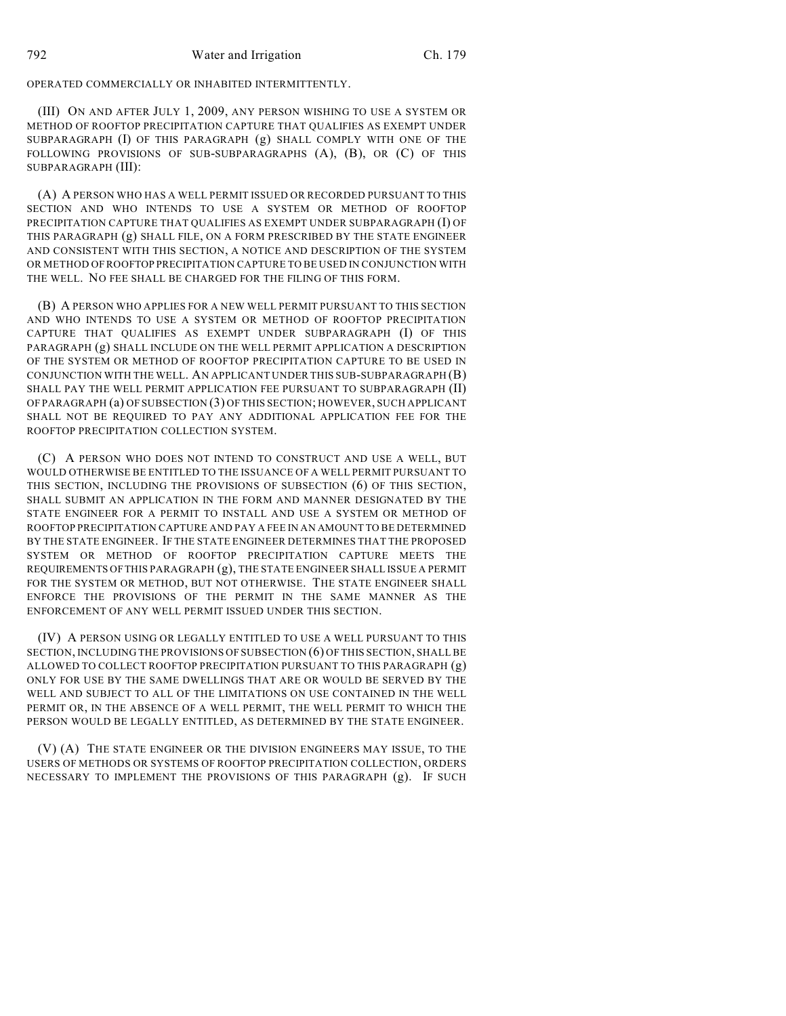## OPERATED COMMERCIALLY OR INHABITED INTERMITTENTLY.

(III) ON AND AFTER JULY 1, 2009, ANY PERSON WISHING TO USE A SYSTEM OR METHOD OF ROOFTOP PRECIPITATION CAPTURE THAT QUALIFIES AS EXEMPT UNDER SUBPARAGRAPH (I) OF THIS PARAGRAPH (g) SHALL COMPLY WITH ONE OF THE FOLLOWING PROVISIONS OF SUB-SUBPARAGRAPHS (A), (B), OR (C) OF THIS SUBPARAGRAPH (III):

(A) A PERSON WHO HAS A WELL PERMIT ISSUED OR RECORDED PURSUANT TO THIS SECTION AND WHO INTENDS TO USE A SYSTEM OR METHOD OF ROOFTOP PRECIPITATION CAPTURE THAT QUALIFIES AS EXEMPT UNDER SUBPARAGRAPH (I) OF THIS PARAGRAPH (g) SHALL FILE, ON A FORM PRESCRIBED BY THE STATE ENGINEER AND CONSISTENT WITH THIS SECTION, A NOTICE AND DESCRIPTION OF THE SYSTEM OR METHOD OF ROOFTOP PRECIPITATION CAPTURE TO BE USED IN CONJUNCTION WITH THE WELL. NO FEE SHALL BE CHARGED FOR THE FILING OF THIS FORM.

(B) A PERSON WHO APPLIES FOR A NEW WELL PERMIT PURSUANT TO THIS SECTION AND WHO INTENDS TO USE A SYSTEM OR METHOD OF ROOFTOP PRECIPITATION CAPTURE THAT QUALIFIES AS EXEMPT UNDER SUBPARAGRAPH (I) OF THIS PARAGRAPH (g) SHALL INCLUDE ON THE WELL PERMIT APPLICATION A DESCRIPTION OF THE SYSTEM OR METHOD OF ROOFTOP PRECIPITATION CAPTURE TO BE USED IN CONJUNCTION WITH THE WELL. AN APPLICANT UNDER THIS SUB-SUBPARAGRAPH (B) SHALL PAY THE WELL PERMIT APPLICATION FEE PURSUANT TO SUBPARAGRAPH (II) OF PARAGRAPH (a) OF SUBSECTION (3) OF THIS SECTION; HOWEVER, SUCH APPLICANT SHALL NOT BE REQUIRED TO PAY ANY ADDITIONAL APPLICATION FEE FOR THE ROOFTOP PRECIPITATION COLLECTION SYSTEM.

(C) A PERSON WHO DOES NOT INTEND TO CONSTRUCT AND USE A WELL, BUT WOULD OTHERWISE BE ENTITLED TO THE ISSUANCE OF A WELL PERMIT PURSUANT TO THIS SECTION, INCLUDING THE PROVISIONS OF SUBSECTION (6) OF THIS SECTION, SHALL SUBMIT AN APPLICATION IN THE FORM AND MANNER DESIGNATED BY THE STATE ENGINEER FOR A PERMIT TO INSTALL AND USE A SYSTEM OR METHOD OF ROOFTOP PRECIPITATION CAPTURE AND PAY A FEE IN AN AMOUNT TO BE DETERMINED BY THE STATE ENGINEER. IF THE STATE ENGINEER DETERMINES THAT THE PROPOSED SYSTEM OR METHOD OF ROOFTOP PRECIPITATION CAPTURE MEETS THE REQUIREMENTS OF THIS PARAGRAPH (g), THE STATE ENGINEER SHALL ISSUE A PERMIT FOR THE SYSTEM OR METHOD, BUT NOT OTHERWISE. THE STATE ENGINEER SHALL ENFORCE THE PROVISIONS OF THE PERMIT IN THE SAME MANNER AS THE ENFORCEMENT OF ANY WELL PERMIT ISSUED UNDER THIS SECTION.

(IV) A PERSON USING OR LEGALLY ENTITLED TO USE A WELL PURSUANT TO THIS SECTION, INCLUDING THE PROVISIONS OF SUBSECTION (6) OF THIS SECTION, SHALL BE ALLOWED TO COLLECT ROOFTOP PRECIPITATION PURSUANT TO THIS PARAGRAPH (g) ONLY FOR USE BY THE SAME DWELLINGS THAT ARE OR WOULD BE SERVED BY THE WELL AND SUBJECT TO ALL OF THE LIMITATIONS ON USE CONTAINED IN THE WELL PERMIT OR, IN THE ABSENCE OF A WELL PERMIT, THE WELL PERMIT TO WHICH THE PERSON WOULD BE LEGALLY ENTITLED, AS DETERMINED BY THE STATE ENGINEER.

(V) (A) THE STATE ENGINEER OR THE DIVISION ENGINEERS MAY ISSUE, TO THE USERS OF METHODS OR SYSTEMS OF ROOFTOP PRECIPITATION COLLECTION, ORDERS NECESSARY TO IMPLEMENT THE PROVISIONS OF THIS PARAGRAPH (g). IF SUCH